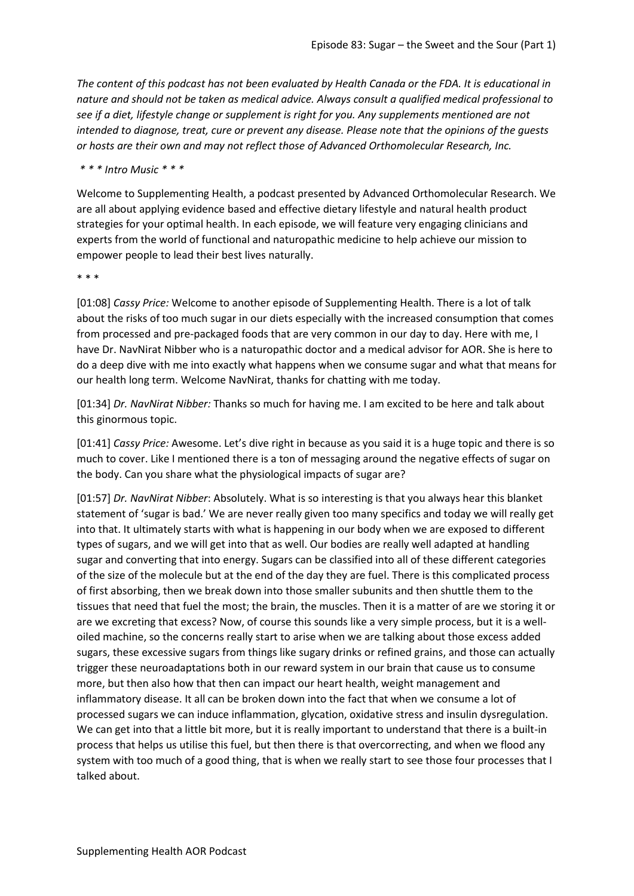*The content of this podcast has not been evaluated by Health Canada or the FDA. It is educational in nature and should not be taken as medical advice. Always consult a qualified medical professional to see if a diet, lifestyle change or supplement is right for you. Any supplements mentioned are not intended to diagnose, treat, cure or prevent any disease. Please note that the opinions of the guests or hosts are their own and may not reflect those of Advanced Orthomolecular Research, Inc.*

*\* \* \* Intro Music \* \* \**

Welcome to Supplementing Health, a podcast presented by Advanced Orthomolecular Research. We are all about applying evidence based and effective dietary lifestyle and natural health product strategies for your optimal health. In each episode, we will feature very engaging clinicians and experts from the world of functional and naturopathic medicine to help achieve our mission to empower people to lead their best lives naturally.

\* \* \*

[01:08] *Cassy Price:* Welcome to another episode of Supplementing Health. There is a lot of talk about the risks of too much sugar in our diets especially with the increased consumption that comes from processed and pre-packaged foods that are very common in our day to day. Here with me, I have Dr. NavNirat Nibber who is a naturopathic doctor and a medical advisor for AOR. She is here to do a deep dive with me into exactly what happens when we consume sugar and what that means for our health long term. Welcome NavNirat, thanks for chatting with me today.

[01:34] *Dr. NavNirat Nibber:* Thanks so much for having me. I am excited to be here and talk about this ginormous topic.

[01:41] *Cassy Price:* Awesome. Let's dive right in because as you said it is a huge topic and there is so much to cover. Like I mentioned there is a ton of messaging around the negative effects of sugar on the body. Can you share what the physiological impacts of sugar are?

[01:57] *Dr. NavNirat Nibber*: Absolutely. What is so interesting is that you always hear this blanket statement of 'sugar is bad.' We are never really given too many specifics and today we will really get into that. It ultimately starts with what is happening in our body when we are exposed to different types of sugars, and we will get into that as well. Our bodies are really well adapted at handling sugar and converting that into energy. Sugars can be classified into all of these different categories of the size of the molecule but at the end of the day they are fuel. There is this complicated process of first absorbing, then we break down into those smaller subunits and then shuttle them to the tissues that need that fuel the most; the brain, the muscles. Then it is a matter of are we storing it or are we excreting that excess? Now, of course this sounds like a very simple process, but it is a welloiled machine, so the concerns really start to arise when we are talking about those excess added sugars, these excessive sugars from things like sugary drinks or refined grains, and those can actually trigger these neuroadaptations both in our reward system in our brain that cause us to consume more, but then also how that then can impact our heart health, weight management and inflammatory disease. It all can be broken down into the fact that when we consume a lot of processed sugars we can induce inflammation, glycation, oxidative stress and insulin dysregulation. We can get into that a little bit more, but it is really important to understand that there is a built-in process that helps us utilise this fuel, but then there is that overcorrecting, and when we flood any system with too much of a good thing, that is when we really start to see those four processes that I talked about.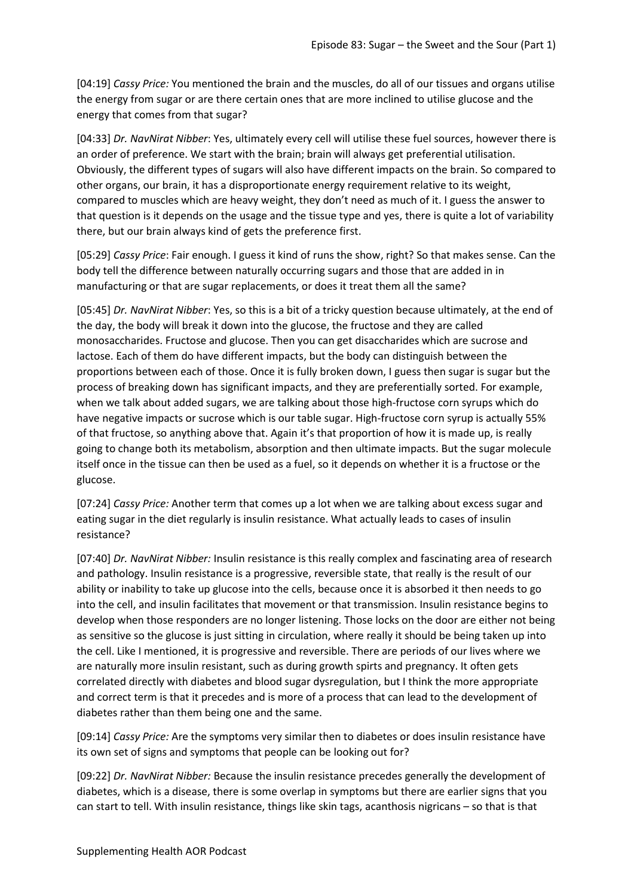[04:19] *Cassy Price:* You mentioned the brain and the muscles, do all of our tissues and organs utilise the energy from sugar or are there certain ones that are more inclined to utilise glucose and the energy that comes from that sugar?

[04:33] *Dr. NavNirat Nibber*: Yes, ultimately every cell will utilise these fuel sources, however there is an order of preference. We start with the brain; brain will always get preferential utilisation. Obviously, the different types of sugars will also have different impacts on the brain. So compared to other organs, our brain, it has a disproportionate energy requirement relative to its weight, compared to muscles which are heavy weight, they don't need as much of it. I guess the answer to that question is it depends on the usage and the tissue type and yes, there is quite a lot of variability there, but our brain always kind of gets the preference first.

[05:29] *Cassy Price*: Fair enough. I guess it kind of runs the show, right? So that makes sense. Can the body tell the difference between naturally occurring sugars and those that are added in in manufacturing or that are sugar replacements, or does it treat them all the same?

[05:45] *Dr. NavNirat Nibber*: Yes, so this is a bit of a tricky question because ultimately, at the end of the day, the body will break it down into the glucose, the fructose and they are called monosaccharides. Fructose and glucose. Then you can get disaccharides which are sucrose and lactose. Each of them do have different impacts, but the body can distinguish between the proportions between each of those. Once it is fully broken down, I guess then sugar is sugar but the process of breaking down has significant impacts, and they are preferentially sorted. For example, when we talk about added sugars, we are talking about those high-fructose corn syrups which do have negative impacts or sucrose which is our table sugar. High-fructose corn syrup is actually 55% of that fructose, so anything above that. Again it's that proportion of how it is made up, is really going to change both its metabolism, absorption and then ultimate impacts. But the sugar molecule itself once in the tissue can then be used as a fuel, so it depends on whether it is a fructose or the glucose.

[07:24] *Cassy Price:* Another term that comes up a lot when we are talking about excess sugar and eating sugar in the diet regularly is insulin resistance. What actually leads to cases of insulin resistance?

[07:40] *Dr. NavNirat Nibber:* Insulin resistance is this really complex and fascinating area of research and pathology. Insulin resistance is a progressive, reversible state, that really is the result of our ability or inability to take up glucose into the cells, because once it is absorbed it then needs to go into the cell, and insulin facilitates that movement or that transmission. Insulin resistance begins to develop when those responders are no longer listening. Those locks on the door are either not being as sensitive so the glucose is just sitting in circulation, where really it should be being taken up into the cell. Like I mentioned, it is progressive and reversible. There are periods of our lives where we are naturally more insulin resistant, such as during growth spirts and pregnancy. It often gets correlated directly with diabetes and blood sugar dysregulation, but I think the more appropriate and correct term is that it precedes and is more of a process that can lead to the development of diabetes rather than them being one and the same.

[09:14] *Cassy Price:* Are the symptoms very similar then to diabetes or does insulin resistance have its own set of signs and symptoms that people can be looking out for?

[09:22] *Dr. NavNirat Nibber:* Because the insulin resistance precedes generally the development of diabetes, which is a disease, there is some overlap in symptoms but there are earlier signs that you can start to tell. With insulin resistance, things like skin tags, acanthosis nigricans – so that is that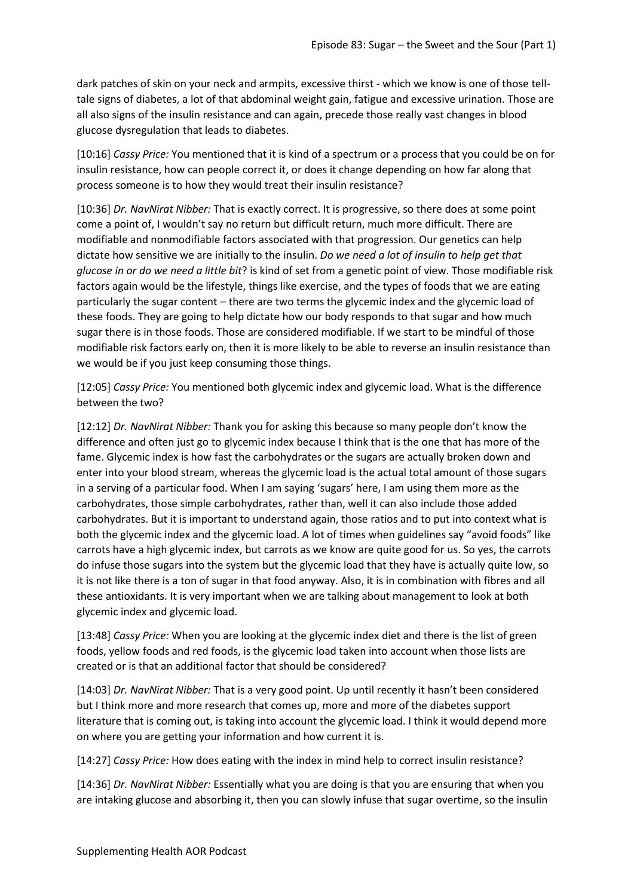dark patches of skin on your neck and armpits, excessive thirst - which we know is one of those telltale signs of diabetes, a lot of that abdominal weight gain, fatigue and excessive urination. Those are all also signs of the insulin resistance and can again, precede those really vast changes in blood glucose dysregulation that leads to diabetes.

[10:16] *Cassy Price:* You mentioned that it is kind of a spectrum or a process that you could be on for insulin resistance, how can people correct it, or does it change depending on how far along that process someone is to how they would treat their insulin resistance?

[10:36] *Dr. NavNirat Nibber:* That is exactly correct. It is progressive, so there does at some point come a point of, I wouldn't say no return but difficult return, much more difficult. There are modifiable and nonmodifiable factors associated with that progression. Our genetics can help dictate how sensitive we are initially to the insulin. *Do we need a lot of insulin to help get that glucose in or do we need a little bit*? is kind of set from a genetic point of view. Those modifiable risk factors again would be the lifestyle, things like exercise, and the types of foods that we are eating particularly the sugar content – there are two terms the glycemic index and the glycemic load of these foods. They are going to help dictate how our body responds to that sugar and how much sugar there is in those foods. Those are considered modifiable. If we start to be mindful of those modifiable risk factors early on, then it is more likely to be able to reverse an insulin resistance than we would be if you just keep consuming those things.

[12:05] *Cassy Price:* You mentioned both glycemic index and glycemic load. What is the difference between the two?

[12:12] *Dr. NavNirat Nibber:* Thank you for asking this because so many people don't know the difference and often just go to glycemic index because I think that is the one that has more of the fame. Glycemic index is how fast the carbohydrates or the sugars are actually broken down and enter into your blood stream, whereas the glycemic load is the actual total amount of those sugars in a serving of a particular food. When I am saying 'sugars' here, I am using them more as the carbohydrates, those simple carbohydrates, rather than, well it can also include those added carbohydrates. But it is important to understand again, those ratios and to put into context what is both the glycemic index and the glycemic load. A lot of times when guidelines say "avoid foods" like carrots have a high glycemic index, but carrots as we know are quite good for us. So yes, the carrots do infuse those sugars into the system but the glycemic load that they have is actually quite low, so it is not like there is a ton of sugar in that food anyway. Also, it is in combination with fibres and all these antioxidants. It is very important when we are talking about management to look at both glycemic index and glycemic load.

[13:48] *Cassy Price:* When you are looking at the glycemic index diet and there is the list of green foods, yellow foods and red foods, is the glycemic load taken into account when those lists are created or is that an additional factor that should be considered?

[14:03] *Dr. NavNirat Nibber:* That is a very good point. Up until recently it hasn't been considered but I think more and more research that comes up, more and more of the diabetes support literature that is coming out, is taking into account the glycemic load. I think it would depend more on where you are getting your information and how current it is.

[14:27] *Cassy Price:* How does eating with the index in mind help to correct insulin resistance?

[14:36] *Dr. NavNirat Nibber:* Essentially what you are doing is that you are ensuring that when you are intaking glucose and absorbing it, then you can slowly infuse that sugar overtime, so the insulin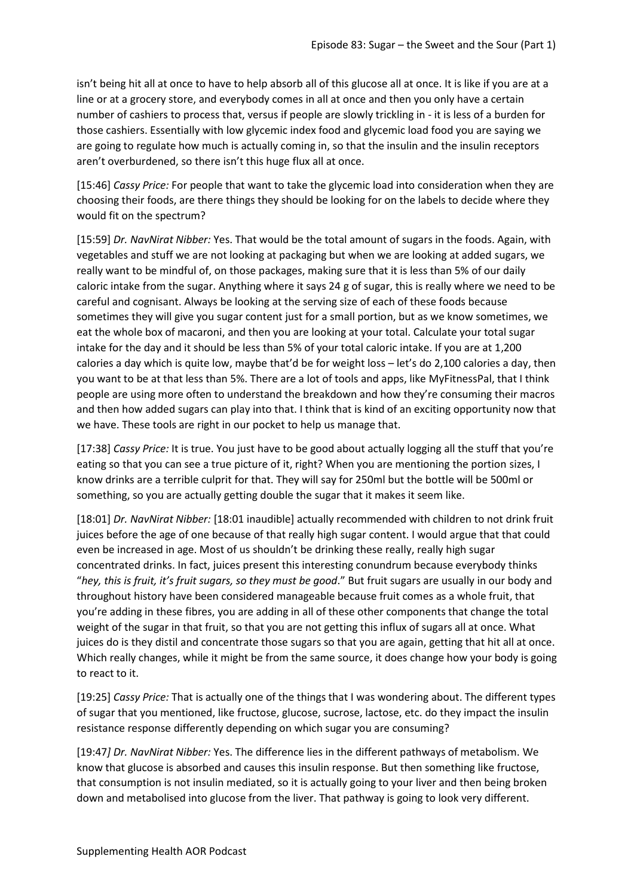isn't being hit all at once to have to help absorb all of this glucose all at once. It is like if you are at a line or at a grocery store, and everybody comes in all at once and then you only have a certain number of cashiers to process that, versus if people are slowly trickling in - it is less of a burden for those cashiers. Essentially with low glycemic index food and glycemic load food you are saying we are going to regulate how much is actually coming in, so that the insulin and the insulin receptors aren't overburdened, so there isn't this huge flux all at once.

[15:46] *Cassy Price:* For people that want to take the glycemic load into consideration when they are choosing their foods, are there things they should be looking for on the labels to decide where they would fit on the spectrum?

[15:59] *Dr. NavNirat Nibber:* Yes. That would be the total amount of sugars in the foods. Again, with vegetables and stuff we are not looking at packaging but when we are looking at added sugars, we really want to be mindful of, on those packages, making sure that it is less than 5% of our daily caloric intake from the sugar. Anything where it says 24 g of sugar, this is really where we need to be careful and cognisant. Always be looking at the serving size of each of these foods because sometimes they will give you sugar content just for a small portion, but as we know sometimes, we eat the whole box of macaroni, and then you are looking at your total. Calculate your total sugar intake for the day and it should be less than 5% of your total caloric intake. If you are at 1,200 calories a day which is quite low, maybe that'd be for weight loss – let's do 2,100 calories a day, then you want to be at that less than 5%. There are a lot of tools and apps, like MyFitnessPal, that I think people are using more often to understand the breakdown and how they're consuming their macros and then how added sugars can play into that. I think that is kind of an exciting opportunity now that we have. These tools are right in our pocket to help us manage that.

[17:38] *Cassy Price:* It is true. You just have to be good about actually logging all the stuff that you're eating so that you can see a true picture of it, right? When you are mentioning the portion sizes, I know drinks are a terrible culprit for that. They will say for 250ml but the bottle will be 500ml or something, so you are actually getting double the sugar that it makes it seem like.

[18:01] *Dr. NavNirat Nibber:* [18:01 inaudible] actually recommended with children to not drink fruit juices before the age of one because of that really high sugar content. I would argue that that could even be increased in age. Most of us shouldn't be drinking these really, really high sugar concentrated drinks. In fact, juices present this interesting conundrum because everybody thinks "*hey, this is fruit, it's fruit sugars, so they must be good*." But fruit sugars are usually in our body and throughout history have been considered manageable because fruit comes as a whole fruit, that you're adding in these fibres, you are adding in all of these other components that change the total weight of the sugar in that fruit, so that you are not getting this influx of sugars all at once. What juices do is they distil and concentrate those sugars so that you are again, getting that hit all at once. Which really changes, while it might be from the same source, it does change how your body is going to react to it.

[19:25] *Cassy Price:* That is actually one of the things that I was wondering about. The different types of sugar that you mentioned, like fructose, glucose, sucrose, lactose, etc. do they impact the insulin resistance response differently depending on which sugar you are consuming?

[19:47*] Dr. NavNirat Nibber:* Yes. The difference lies in the different pathways of metabolism. We know that glucose is absorbed and causes this insulin response. But then something like fructose, that consumption is not insulin mediated, so it is actually going to your liver and then being broken down and metabolised into glucose from the liver. That pathway is going to look very different.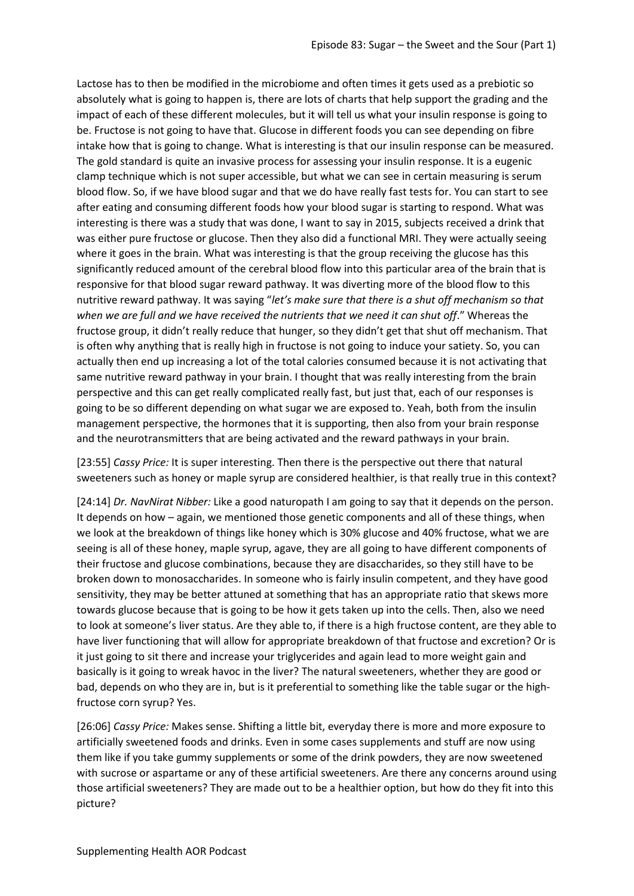Lactose has to then be modified in the microbiome and often times it gets used as a prebiotic so absolutely what is going to happen is, there are lots of charts that help support the grading and the impact of each of these different molecules, but it will tell us what your insulin response is going to be. Fructose is not going to have that. Glucose in different foods you can see depending on fibre intake how that is going to change. What is interesting is that our insulin response can be measured. The gold standard is quite an invasive process for assessing your insulin response. It is a eugenic clamp technique which is not super accessible, but what we can see in certain measuring is serum blood flow. So, if we have blood sugar and that we do have really fast tests for. You can start to see after eating and consuming different foods how your blood sugar is starting to respond. What was interesting is there was a study that was done, I want to say in 2015, subjects received a drink that was either pure fructose or glucose. Then they also did a functional MRI. They were actually seeing where it goes in the brain. What was interesting is that the group receiving the glucose has this significantly reduced amount of the cerebral blood flow into this particular area of the brain that is responsive for that blood sugar reward pathway. It was diverting more of the blood flow to this nutritive reward pathway. It was saying "*let's make sure that there is a shut off mechanism so that when we are full and we have received the nutrients that we need it can shut off*." Whereas the fructose group, it didn't really reduce that hunger, so they didn't get that shut off mechanism. That is often why anything that is really high in fructose is not going to induce your satiety. So, you can actually then end up increasing a lot of the total calories consumed because it is not activating that same nutritive reward pathway in your brain. I thought that was really interesting from the brain perspective and this can get really complicated really fast, but just that, each of our responses is going to be so different depending on what sugar we are exposed to. Yeah, both from the insulin management perspective, the hormones that it is supporting, then also from your brain response and the neurotransmitters that are being activated and the reward pathways in your brain.

[23:55] *Cassy Price:* It is super interesting. Then there is the perspective out there that natural sweeteners such as honey or maple syrup are considered healthier, is that really true in this context?

[24:14] *Dr. NavNirat Nibber:* Like a good naturopath I am going to say that it depends on the person. It depends on how – again, we mentioned those genetic components and all of these things, when we look at the breakdown of things like honey which is 30% glucose and 40% fructose, what we are seeing is all of these honey, maple syrup, agave, they are all going to have different components of their fructose and glucose combinations, because they are disaccharides, so they still have to be broken down to monosaccharides. In someone who is fairly insulin competent, and they have good sensitivity, they may be better attuned at something that has an appropriate ratio that skews more towards glucose because that is going to be how it gets taken up into the cells. Then, also we need to look at someone's liver status. Are they able to, if there is a high fructose content, are they able to have liver functioning that will allow for appropriate breakdown of that fructose and excretion? Or is it just going to sit there and increase your triglycerides and again lead to more weight gain and basically is it going to wreak havoc in the liver? The natural sweeteners, whether they are good or bad, depends on who they are in, but is it preferential to something like the table sugar or the highfructose corn syrup? Yes.

[26:06] *Cassy Price:* Makes sense. Shifting a little bit, everyday there is more and more exposure to artificially sweetened foods and drinks. Even in some cases supplements and stuff are now using them like if you take gummy supplements or some of the drink powders, they are now sweetened with sucrose or aspartame or any of these artificial sweeteners. Are there any concerns around using those artificial sweeteners? They are made out to be a healthier option, but how do they fit into this picture?